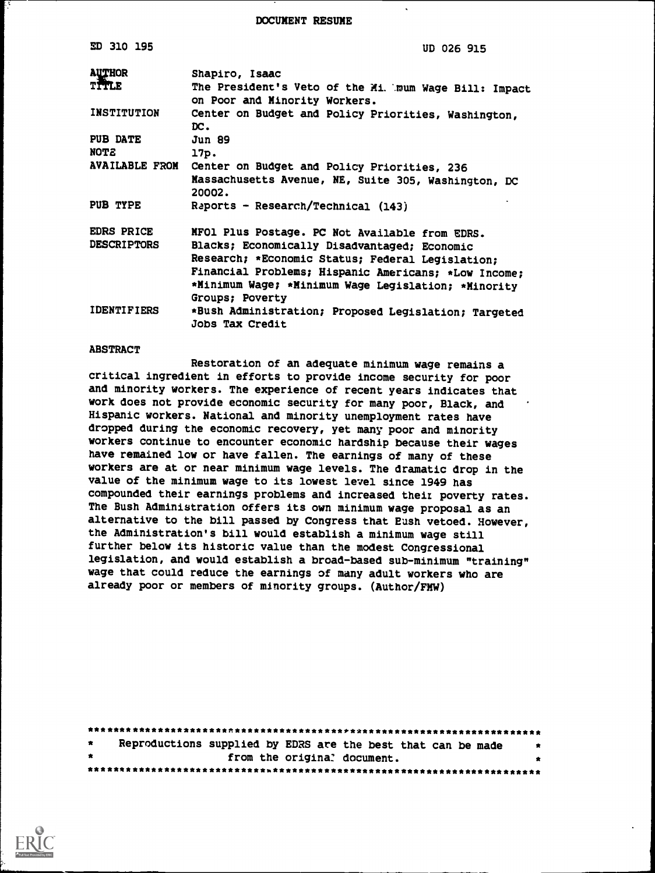DOCUMENT RESUME

| <b>ED 310 195</b>      | <b>UD 026 915</b>                                                              |  |  |  |
|------------------------|--------------------------------------------------------------------------------|--|--|--|
| <b>AUTHOR</b><br>TITLE | Shapiro, Isaac<br>The President's Veto of the Mi. mum Wage Bill: Impact        |  |  |  |
|                        | on Poor and Minority Workers.                                                  |  |  |  |
| <b>INSTITUTION</b>     | Center on Budget and Policy Priorities, Washington,<br>DC.                     |  |  |  |
| <b>PUB DATE</b>        | <b>Jun 89</b>                                                                  |  |  |  |
| <b>NOTE</b>            | 17p.                                                                           |  |  |  |
| <b>AVAILABLE FROM</b>  | Center on Budget and Policy Priorities, 236                                    |  |  |  |
|                        | Massachusetts Avenue, NE, Suite 305, Washington, DC<br>20002.                  |  |  |  |
| PUB TYPE               | Raports - Research/Technical (143)                                             |  |  |  |
| <b>EDRS PRICE</b>      | MFO1 Plus Postage. PC Not Available from EDRS.                                 |  |  |  |
| <b>DESCRIPTORS</b>     | Blacks; Economically Disadvantaged; Economic                                   |  |  |  |
|                        | Research; *Economic Status; Federal Legislation;                               |  |  |  |
|                        | Financial Problems; Hispanic Americans; *Low Income;                           |  |  |  |
|                        | *Minimum Wage; *Minimum Wage Legislation; *Minority                            |  |  |  |
|                        | Groups; Poverty                                                                |  |  |  |
| <b>IDENTIFIERS</b>     | *Bush Administration; Proposed Legislation; Targeted<br><b>Jobs Tax Credit</b> |  |  |  |

#### ABSTRACT

Restoration of an adequate minimum wage remains a critical ingredient in efforts to provide income security for poor and minority workers. The experience of recent years indicates that work does not provide economic security for many poor, Black, and Hispanic workers. National and minority unemployment rates have dropped during the economic recovery, yet many poor and minority workers continue to encounter economic hardship because their wages have remained low or have fallen. The earnings of many of these workers are at or near minimum wage levels. The dramatic drop in the value of the minimum wage to its lowest level since 1949 has compounded their earnings problems and increased their poverty rates. The Bush Administration offers its own minimum wage proposal as an alternative to the bill passed by Congress that Eush vetoed. However, the Administration's bill would establish a minimum wage still further below its historic value than the modest Congressional legislation, and would establish a broad-based sub-minimum "training" wage that could reduce the earnings of many adult workers who are already poor or members of minority groups. (Author/FMW)

| $\star$   |  |  |  | Reproductions supplied by EDRS are the best that can be made |  | $\ddot{\bm{x}}$ |  |
|-----------|--|--|--|--------------------------------------------------------------|--|-----------------|--|
| $\bullet$ |  |  |  | from the original document.                                  |  | *               |  |
|           |  |  |  |                                                              |  |                 |  |

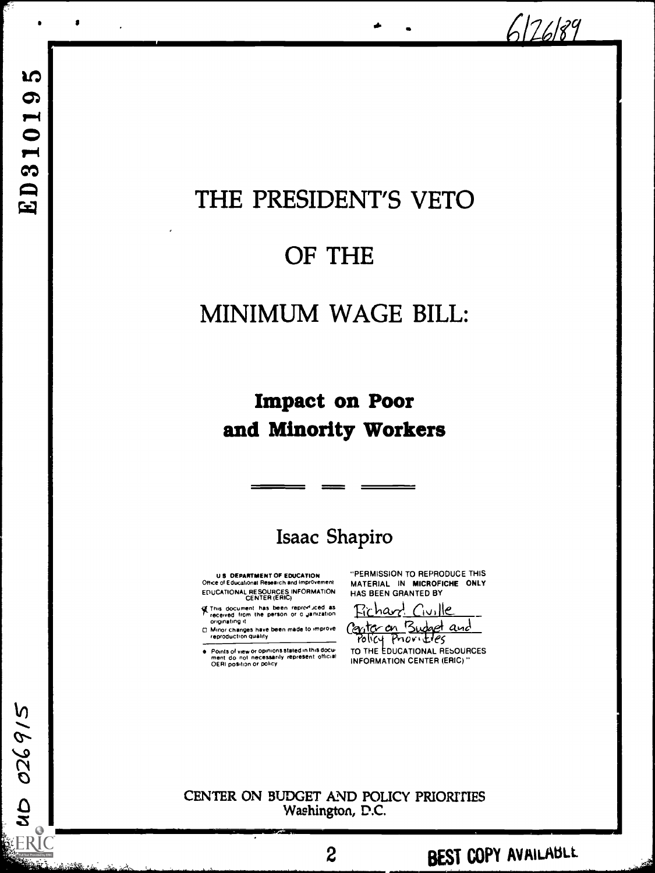6126189

up 026915

# THE PRESIDENT'S VETO

**I** and the second contract the second contract of the second contract of the second contract of the second contract of the second contract of the second contract of the second contract of the second contract of the second

# OF THE

# MINIMUM WAGE BILL:

## Impact on Poor and Minority Workers

## Isaac Shapiro

U S DEPARTMENT OF EDUCATION Office 0 Educational Research and improvement EDUCATIONAL RESOURCES INFORMATION CENTER (ERIC)

of this document has been reproduced as<br>Theceived from the person or o Janization<br>originating it

Minor changes have been made to improve [200]<br>reproduction quality

Points of view or opinions stated in this docu-<br>ment: do: not: necessarily: represent: official<br>OERI position or policy

"PERMISSION TO REPRODUCE THIS MATERIAL IN MICROFICHE ONLY HAS BEEN GRANTED BY

<u>Fichard</u> Civille Center on Budget and

Policy Provides TO THE EDUCATIONAL REbOURCES INFORMATION CENTER (ERIC)"

2 **BEST COPY AVAILABLE** 

CENTER ON BUDGET AND POLICY PRIORITIES Washington, D.C.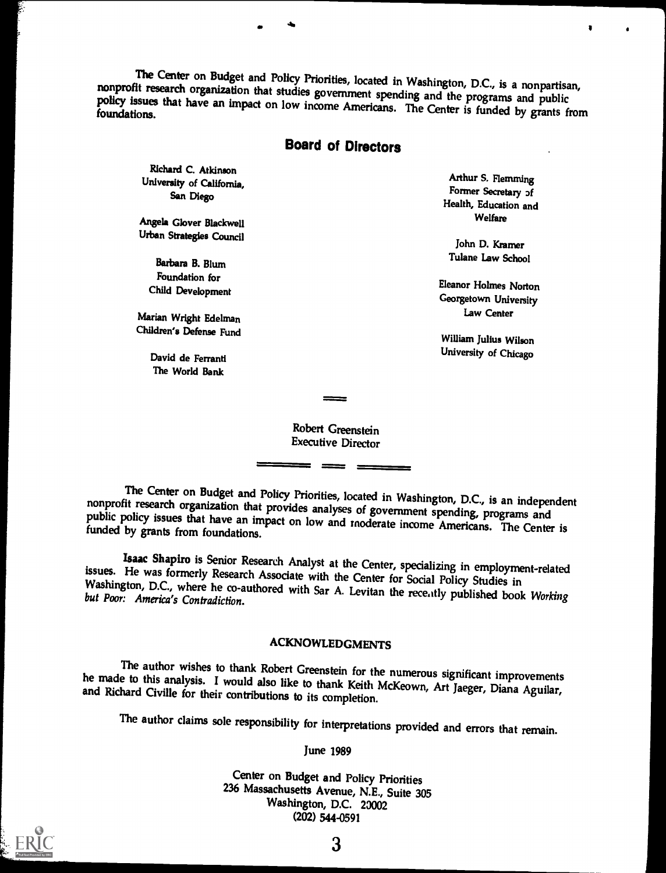The Center on Budget and Policy Priorities, located in Washington, D.C., is a nonpartisan, nonprofit research organization that studies government spending and the programs and public policy issues that have an impact on l

## Board of Directors

Richard C. Atkinson University of California, San Diego

Angela Glover Blackwell Urban Strategies Council

> Barbara B. Blum Foundation for Child Development

Marian Wright Edelman Children's Defense Fund

> David de Ferranti The World Bank

Arthur S. Flemming Former Secretary <sub>2f</sub> Health, Education and Welfare

 $\mathbf{I}$  is a set of  $\mathbf{I}$ 

John D. Kramer Tulane Law School

Eleanor Holmes Norton Georgetown University Law Center

William Julius Wilson University of Chicago

Robert Greenstein Executive Director

The Center on Budget and Policy Priorities, located in Washington, D.C., is an independent nonprofit research organization that provides analyses of government spending, programs and public policy issues that have an impac

Isaac Shapiro is Senior Research Analyst at the Center, specializing in employment-related issues. He was formerly Research Associate with the Center for Social Policy Studies in Washington, D.C., where he co-authored with the Center for Social Policy Studies in<br>washington, D.C., where he co-authored with Sar A. Levitan the recently published hash W. J. but Poor: America's Contradiction. n, D.C., where he co-authored with Sar A. Levitan the recently published book Working<br>America's Contradiction.

### ACKNOWLEDGMENTS

The author wishes to thank Robert Greenstein for the numerous significant improvements<br>he made to this analysis. I would also like to thank Keith McKeown, Art Jaeger, Diana Aguilar,<br>and Richard Civille for their contributi

The author claims sole responsibility for interpretations provided and errors that remain.

June 1989

Center on Budget and Policy Priorities 236 Massachusetts Avenue, N.E., Suite 305 Washington, D.C. 20002 (202) 544-0591

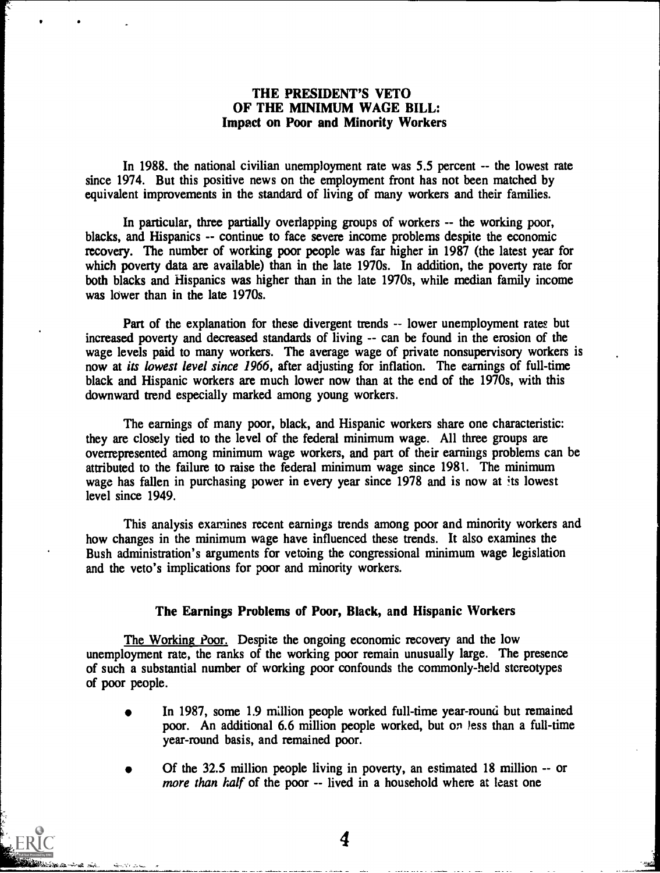#### THE PRESIDENT'S VETO OF THE MINIMUM WAGE BILL: Impact on Poor and Minority Workers

In 1988. the national civilian unemployment rate was 5.5 percent -- the lowest rate since 1974. But this positive news on the employment front has not been matched by equivalent improvements in the standard of living of many workers and their families.

In particular, three partially overlapping groups of workers -- the working poor, blacks, and Hispanics -- continue to face severe income problems despite the economic recovery. The number of working poor people was far higher in 1987 (the latest year for which poverty data are available) than in the late 1970s. In addition, the poverty rate for both blacks and Hispanics was higher than in the late 1970s, while median family income was lower than in the late 1970s.

Part of the explanation for these divergent trends -- lower unemployment rates but increased poverty and decreased standards of living -- can be found in the erosion of the wage levels paid to many workers. The average wage of private nonsupervisory workers is now at its lowest level since 1966, after adjusting for inflation. The earnings of full-time black and Hispanic workers are much lower now than at the end of the 1970s, with this downward trend especially marked among young workers.

The earnings of many poor, black, and Hispanic workers share one characteristic: they are closely tied to the level of the federal minimum wage. All three groups are overrepresented among minimum wage workers, and part of their earnings problems can be attributed to the failure to raise the federal minimum wage since 1981. The minimum wage has fallen in purchasing power in every year since 1978 and is now at its lowest level since 1949.

This analysis examines recent earnings trends among poor and minority workers and how changes in the minimum wage have influenced these trends. It also examines the Bush administration's arguments for vetoing the congressional minimum wage legislation and the veto's implications for poor and minority workers.

#### The Earnings Problems of Poor, Black, and Hispanic Workers

The Working Poor. Despite the ongoing economic recovery and the low unemployment rate, the ranks of the working poor remain unusually large. The presence of such a substantial number of working poor confounds the commonly-held stereotypes of poor people.

- In 1987, some 1.9 million people worked full-time year-round but remained poor. An additional 6.6 million people worked, but on less than a full-time year-round basis, and remained poor.
- Of the 32.5 million people living in poverty, an estimated 18 million -- or more than half of the poor -- lived in a household where at least one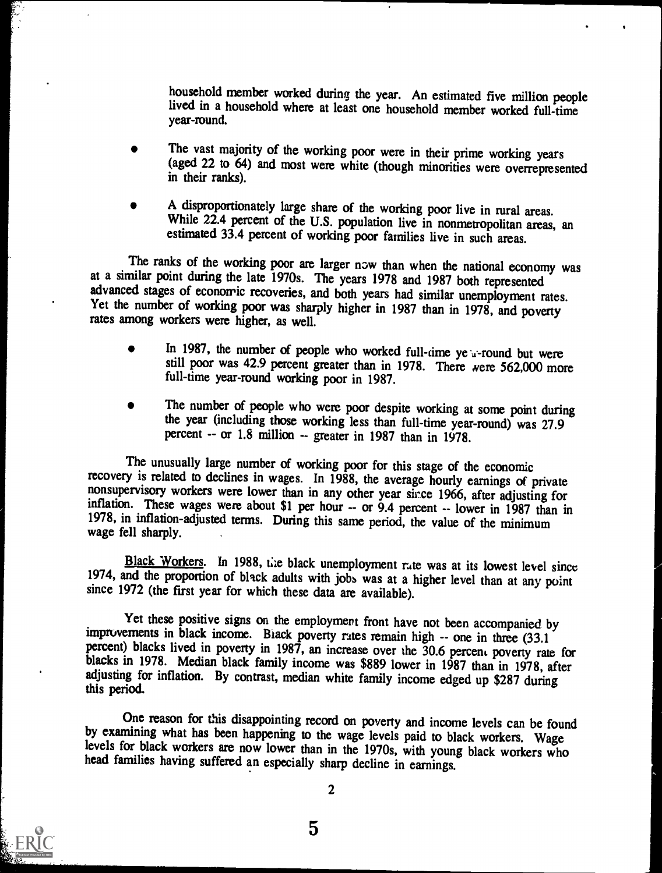household member worked during the year. An estimated five million people lived in a household where at least one household member worked full-time year-round.

- The vast majority of the working poor were in their prime working years (aged 22 to 64) and most were white (though minorities were overrepresented in their ranks).
- A disproportionately large share of the working poor live in rural areas. While 22.4 percent of the U.S. population live in nonmetropolitan areas, an estimated 33.4 percent of working poor families live in such areas.

The ranks of the working poor are larger now than when the national economy was at a similar point during the late 1970s. The years 1978 and 1987 both represented advanced stages of economic recoveries, and both years had Yet the number of working poor was sharply higher in 1987 than in 1978, and poverty rates among workers were higher, as well.

- In 1987, the number of people who worked full-time ye *u*-round but were still poor was 42.9 percent greater than in 1978. There were 562,000 more full-time year-round working poor in 1987.
- The number of people who were poor despite working at some point during the year (including those working less than full-time year-round) was 27.9 percent  $-$  or 1.8 million  $-$  greater in 1987 than in 1978.

The unusually large number of working poor for this stage of the economic recovery is related to declines in wages. In 1988, the average hourly earnings of private nonsupervisory workers were lower than in any other year since 1966, after adjusting for inflation. These wages were about \$1 per hour -- or 9.4 percent -- lower in 1987 than in 1978, in inflation-adjusted terms. During this same period, the value of the minimum wage fell sharply.

Black Workers. In 1988, the black unemployment rate was at its lowest level since 1974, and the proportion of black adults with jobs was at a higher level than at any point since 1972 (the first year for which these data are available).

Yet these positive signs on the employment front have not been accompanied by improvements in black income. Black poverty rates remain high -- one in three (33.1) percent) blacks lived in poverty in 1987, an increase over the 30.6 percent poverty rate for blacks in 1978. Median black family income was \$889 lower in 1987 than in 1978, after adjusting for inflation. By contrast, median white family income edged up \$287 during this period.

One reason for this disappointing record on poverty and income levels can be found by examining what has been happening to the wage levels paid to black workers. Wage levels for black workers are now lower than in the 1970s, with young black workers who head families having suffered an especially sharp decline in earnings.

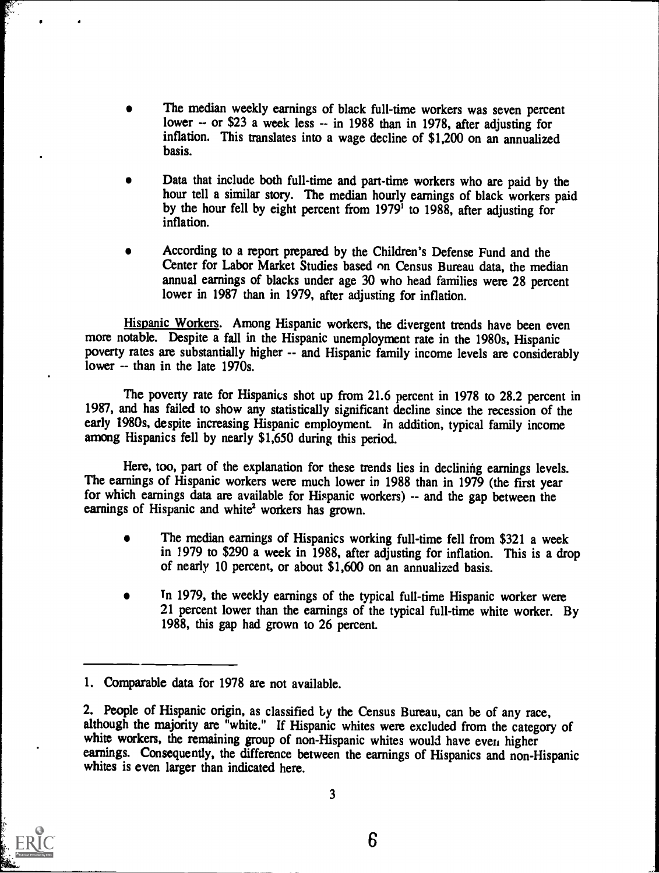- The median weekly earnings of black full-time workers was seven percent lower -- or \$23 a week less -- in 1988 than in 1978, after adjusting for inflation. This translates into a wage decline of \$1,200 on an annualized basis.
- Data that include both full-time and part-time workers who are paid by the hour tell a similar story. The median hourly earnings of black workers paid by the hour fell by eight percent from 1979' to 1988, after adjusting for inflation.
- According to a report prepared by the Children's Defense Fund and the  $\bullet$ Center for Labor Market Studies based on Census Bureau data, the median annual earnings of blacks under age 30 who head families were 28 percent lower in 1987 than in 1979, after adjusting for inflation.

Hispanic Workers. Among Hispanic workers, the divergent trends have been even more notable. Despite a fall in the Hispanic unemployment rate in the 1980s, Hispanic poverty rates are substantially higher -- and Hispanic family income levels are considerably lower -- than in the late 1970s.

The poverty rate for Hispanics shot up from 21.6 percent in 1978 to 28.2 percent in 1987, and has failed to show any statistically significant decline since the recession of the early 1980s, despite increasing Hispanic employment. In addition, typical family income among Hispanics fell by nearly \$1,650 during this period.

Here, too, part of the explanation for these trends lies in declining earnings levels. The earnings of Hispanic workers were much lower in 1988 than in 1979 (the first year for which earnings data are available for Hispanic workers) -- and the gap between the earnings of Hispanic and white<sup>2</sup> workers has grown.

- The median earnings of Hispanics working full-time fell from \$321 a week in 1979 to \$290 a week in 1988, after adjusting for inflation. This is a drop of nearly 10 percent, or about \$1,600 on an annualized basis.
- In 1979, the weekly earnings of the typical full-time Hispanic worker were 21 percent lower than the earnings of the typical full-time white worker. By 1988, this gap had grown to 26 percent.



<sup>1.</sup> Comparable data for 1978 are not available.

<sup>2.</sup> People of Hispanic origin, as classified by the Census Bureau, can be of any race, although the majority are "white." If Hispanic whites were excluded from the category of white workers, the remaining group of non-Hispanic whites would have even higher earnings. Consequently, the difference between the earnings of Hispanics and non-Hispanic whites is even larger than indicated here.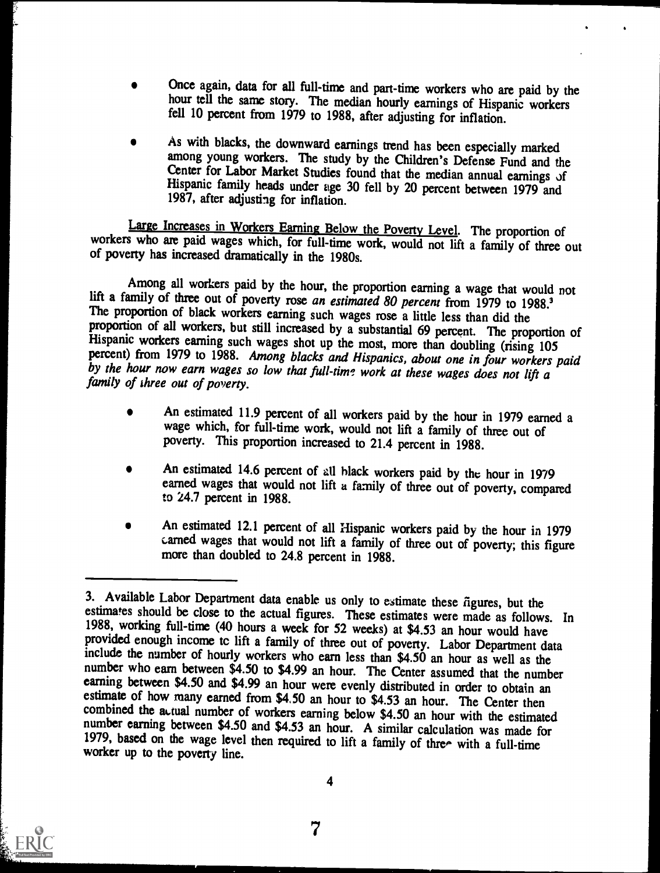- Once again, data for all full-time and part-time workers who are paid by the hour tell the same story. The median hourly earnings of Hispanic workers fell 10 percent from 1979 to 1988, after adjusting for inflation.
- As with blacks, the downward earnings trend has been especially marked among young workers. The study by the Children's Defense Fund and the Center for Labor Market Studies found that the median annual earnings of Hispanic family heads under age 30 fell by 20 percent between 1979 and 1987, after adjusting for inflation.

Large Increases in Workers Earning Below the Poverty Level. The proportion of workers who are paid wages which, for full-time work, would not lift a family of three out of poverty has increased dramatically in the 1980s.

Among all workers paid by the hour, the proportion earning a wage that would not<br>lift a family of three out of poverty rose an estimated 80 percent from 1979 to 1988.<sup>3</sup><br>The proportion of black workers earning such wages r by the hour now earn wages so low that full-time work at these wages does not lift a family of three out of poverty.

- An estimated 11.9 percent of all workers paid by the hour in 1979 earned a wage which, for full-time work, would not lift a family of three out of poverty. This proportion increased to 21.4 percent in 1988.
- An estimated 14.6 percent of all black workers paid by the hour in 1979 earned wages that would not lift a family of three out of poverty, compared to 24.7 percent in 1988.
- An estimated 12.1 percent of all Hispanic workers paid by the hour in 1979 carned wages that would not lift a family of three out of poverty; this figure more than doubled to 24.8 percent in 1988.



<sup>3.</sup> Available Labor Department data enable us only to estimate these figures, but the estimates should be close to the actual figures. These estimates were made as follows. In 1988, working full-time (40 hours a week for 52 weeks) at \$4.53 an hour would have<br>provided enough income to lift a family of three out of poverty. Labor Department data<br>include the number of hourly workers who earn less t number who earn between \$4.50 to \$4.99 an hour. The Center assumed that the number<br>earning between \$4.50 and \$4.99 an hour were evenly distributed in order to obtain an<br>estimate of how many earned from \$4.50 an hour to \$4. number earning between \$4.50 and \$4.53 an hour. A similar calculation was made for 1979, based on the wage level then required to lift a family of three with a full-time worker up to the poverty line.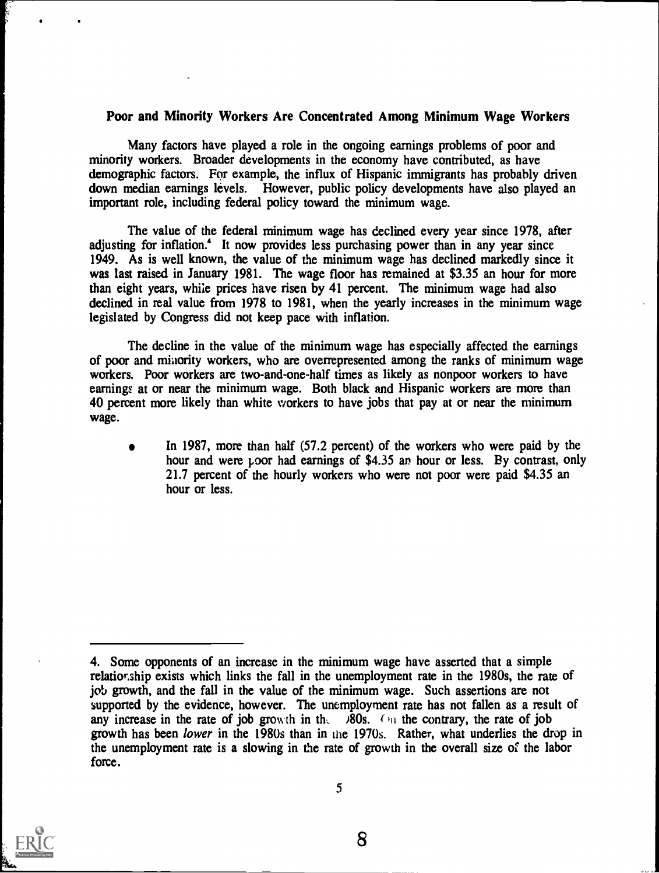#### Poor and Minority Workers Are Concentrated Among Minimum Wage Workers

Many factors have played a role in the ongoing earnings problems of poor and minority workers. Broader developments in the economy have contributed, as have demographic factors. For example, the influx of Hispanic immigrants has probably driven down median earnings levels. However, public policy developments have also played an important role, including federal policy toward the minimum wage.

The value of the federal minimum wage has declined every year since 1978, after adjusting for inflation.' It now provides less purchasing power than in any year since 1949. As is well known, the value of the minimum wage has declined markedly since it was last raised in January 1981. The wage floor has remained at \$3.35 an hour for more than eight years, while prices have risen by 41 percent. The minimum wage had also declined in real value from 1978 to 1981, when the yearly increases in the minimum wage legislated by Congress did not keep pace with inflation.

The decline in the value of the minimum wage has especially affected the earnings of poor and minority workers, who are overrepresented among the ranks of minimum wage workers. Poor workers are two-and-one-half times as likely as nonpoor workers to have earnings at or near the minimum wage. Both black and Hispanic workers are more than 40 percent more likely than white workers to have jobs that pay at or near the minimum wage.

In 1987, more than half (57.2 percent) of the workers who were paid by the hour and were poor had earnings of \$4.35 an hour or less. By contrast, only 21.7 percent of the hourly workers who were not poor were paid \$4.35 an hour or less.



5

<sup>4.</sup> Some opponents of an increase in the minimum wage have asserted that a simple relationship exists which links the fall in the unemployment rate in the 1980s, the rate of job growth, and the fall in the value of the minimum wage. Such assertions are not supported by the evidence, however. The unemployment rate has not fallen as a result of any increase in the rate of job growth in the  $\lambda$ 80s. (In the contrary, the rate of job growth has been lower in the 1980s than in the 1970s. Rather, what underlies the drop in the unemployment rate is a slowing in the rate of growth in the overall size of the labor force.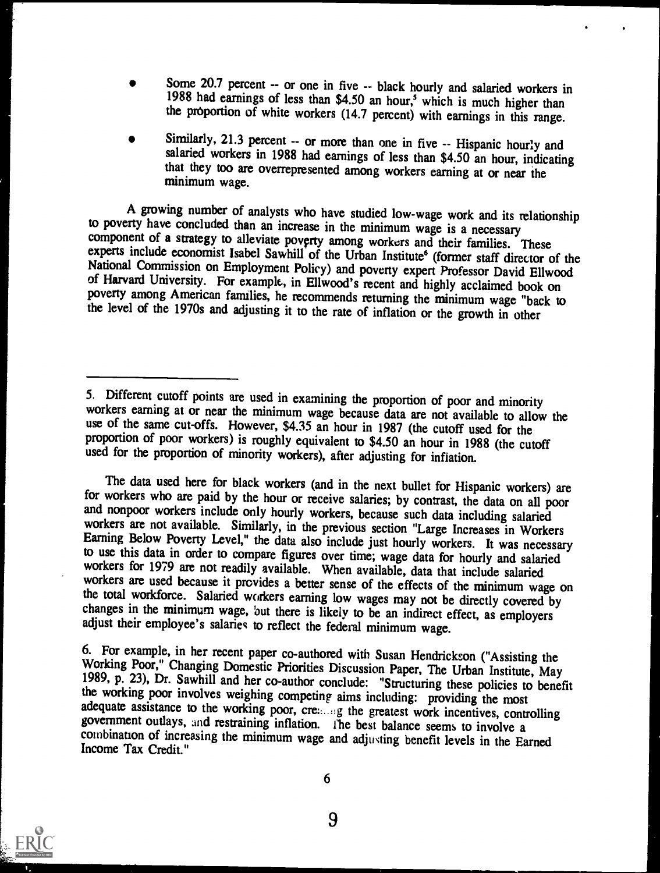- Some 20.7 percent -- or one in five -- black hourly and salaried workers in 1988 had earnings of less than \$4.50 an hour,<sup>5</sup> which is much higher than the proportion of white workers (14.7 percent) with earnings in this range.
- Similarly, 21.3 percent -- or more than one in five -- Hispanic hourly and salaried workers in 1988 had earnings of less than \$4.50 an hour, indicating that they too are overrepresented among workers earning at or near the minimum wage.

A growing number of analysts who have studied low-wage work and its relationship<br>to poverty have concluded than an increase in the minimum wage is a necessary<br>component of a strategy to alleviate poverty among workers and National Commission on Employment Policy) and poverty expert Professor David Ellwood<br>of Harvard University. For example, in Ellwood's recent and highly acclaimed book on<br>poverty among American families, he recommends retur

The data used here for black workers (and in the next bullet for Hispanic workers) are<br>for workers who are paid by the hour or receive salaries; by contrast, the data on all poor<br>and nonpoor workers include only hourly wor to use this data in order to compare figures over time; wage data for hourly and salaried workers for 1979 are not readily available. When available, data that include salaried workers are used because it provides a better changes in the minimum wage, but there is likely to be an indirect effect, as employers adjust their employee's salaries to reflect the federal minimum wage.

6. For example, in her recent paper co-authored with Susan Hendrickson ("Assisting the Working Poor," Changing Domestic Priorities Discussion Paper, The Urban Institute, May 1989, p. 23), Dr. Sawhill and her co-author conc combination of increasing the minimum wage and adjusting benefit levels in the Earned Income Tax Credit."



<sup>5.</sup> Different cutoff points are used in examining the proportion of poor and minority workers earning at or near the minimum wage because data are not available to allow the use of the same cut-offs. However, \$4.35 an hour

<sup>9</sup>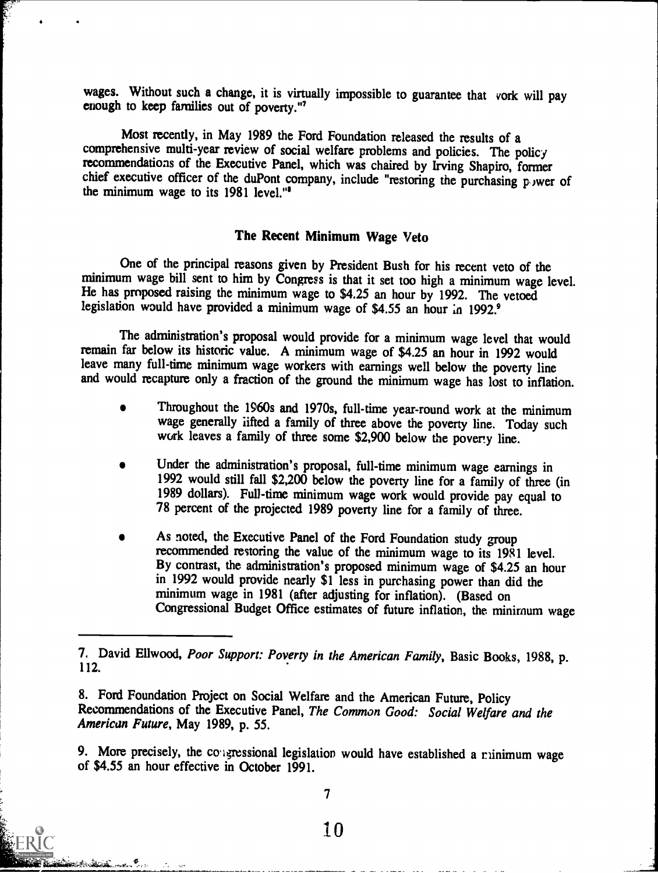wages. Without such a change, it is virtually impossible to guarantee that vork will pay enough to keep families out of poverty."'

Most recently, in May 1989 the Ford Foundation released the results of a comprehensive multi-year review of social welfare problems and policies. The policy recommendations of the Executive Panel, which was chaired by Irving Shapiro, former chief executive officer of the duPont company, include "restoring the purchasing p wer of the minimum wage to its 1981 level."'

## The Recent Minimum Wage Veto

One of the principal reasons given by President Bush for his recent veto of the minimum wage bill sent to him by Congress is that it set too high a minimum wage level. He has proposed raising the minimum wage to \$4.25 an hour by 1992. The vetoed legislation would have provided a minimum wage of \$4.55 an hour in 1992.<sup>9</sup>

The administration's proposal would provide for a minimum wage level that would remain far below its historic value. A minimum wage of \$4.25 an hour in 1992 would leave many full-time minimum wage workers with earnings well below the poverty line and would recapture only a fraction of the ground the minimum wage has lost to inflation.

- Throughout the 1960s and 1970s, full-time year-round work at the minimum wage generally lifted a family of three above the poverty line. Today such work leaves a family of three some \$2,900 below the poverty line.
- Under the administration's proposal, full-time minimum wage earnings in 1992 would still fall \$2,200 below the poverty line for a family of three (in 1989 dollars). Full-time minimum wage work would provide pay equal to 78 percent of the projected 1989 poverty line for a family of three.
- As noted, the Executive Panel of the Ford Foundation study group recommended restoring the value of the minimum wage to its 1981 level. By contrast, the administration's proposed minimum wage of \$4.25 an hour in 1992 would provide nearly \$1 less in purchasing power than did the minimum wage in 1981 (after adjusting for inflation). (Based on Congressional Budget Office estimates of future inflation, the minimum wage

<sup>7.</sup> David Ellwood, Poor Support: Poverty in the American Family, Basic Books, 1988, p. 112.

<sup>8.</sup> Ford Foundation Project on Social Welfare and the American Future, Policy Recommendations of the Executive Panel, The Common Good: Social Welfare and the American Future, May 1989, p. 55.

<sup>9.</sup> More precisely, the congressional legislation would have established a minimum wage of \$4.55 an hour effective in October 1991.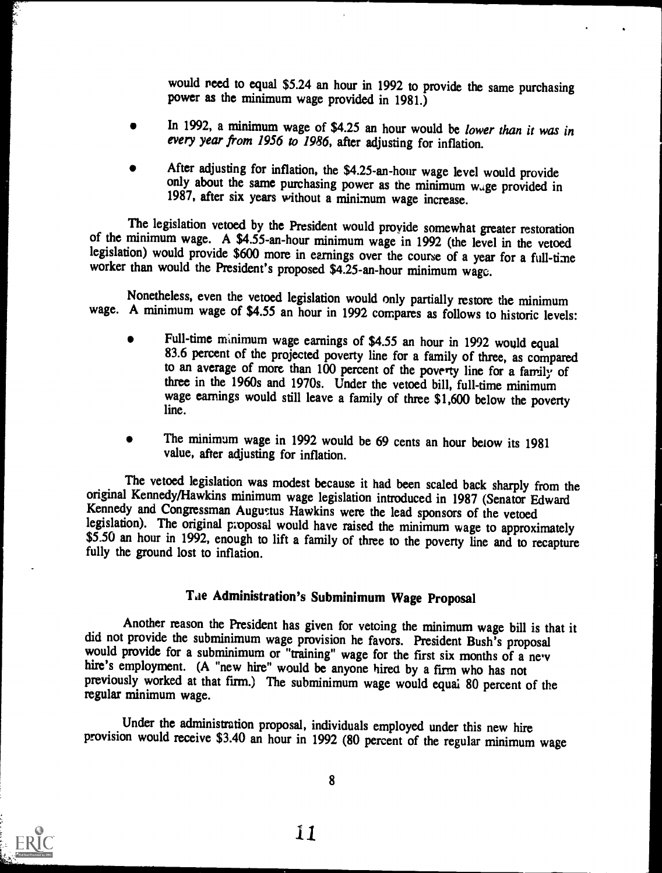would need to equal \$5.24 an hour in 1992 to provide the same purchasing power as the minimum wage provided in 1981.)

- In 1992, a minimum wage of \$4.25 an hour would be lower than it was in every year from 1956 to 1986, after adjusting for inflation.
- After adjusting for inflation, the \$4.25-an-hour wage level would provide only about the same purchasing power as the minimum wage provided in 1987, after six years without a minimum wage increase.

The legislation vetoed by the President would provide somewhat greater restoration of the minimum wage. A \$4.55-an-hour minimum wage in 1992 (the level in the vetoed legislation) would provide \$600 more in earnings over th worker than would the President's proposed \$4.25-an-hour minimum wage.

Nonetheless, even the vetoed legislation would only partially restore the minimum wage. A minimum wage of \$4.55 an hour in 1992 compares as follows to historic levels:

- Full-time minimum wage earnings of \$4.55 an hour in 1992 would equal 83.6 percent of the projected poverty line for a family of three, as compared to an average of more than 100 percent of the poverty line for a family of three in the 1960s and 1970s. Under the vetoed bill, full-time minimum wage earnings would still leave a family of three \$1,600 below the poverty line.
- The minimum wage in 1992 would be 69 cents an hour below its 1981 value, after adjusting for inflation.

The vetoed legislation was modest because it had been scaled back sharply from the original Kennedy/Hawkins minimum wage legislation introduced in 1987 (Senator Edward Kennedy and Congressman Augustus Hawkins were the lead \$5.50 an hour in 1992, enough to lift a family of three to the poverty line and to recapture fully the ground lost to inflation.

## Lie Administration's Subminimum Wage Proposal

Another reason the President has given for vetoing the minimum wage bill is that it did not provide the subminimum wage provision he favors. President Bush's proposal would provide for a subminimum or "training" wage for t previously worked at that firm.) The subminimum wage would equal 80 percent of the regular minimum wage.

Under the administration proposal, individuals employed under this new hire provision would receive \$3.40 an hour in 1992 (80 percent of the regular minimum wage



8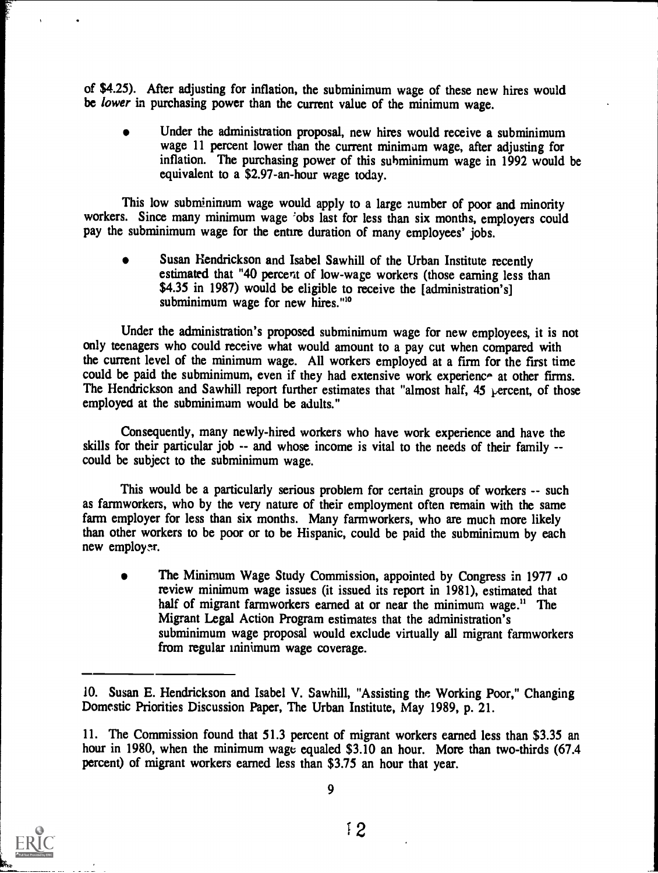of \$4.25). After adjusting for inflation, the subminimum wage of these new hires would be *lower* in purchasing power than the current value of the minimum wage.

Under the administration proposal, new hires would receive a subminimum wage 11 percent lower than the current minimum wage, after adjusting for inflation. The purchasing power of this subminimum wage in 1992 would be equivalent to a \$2.97-an-hour wage today.

This low subminimum wage would apply to a large number of poor and minority workers. Since many minimum wage 'obs last for less than six months, employers could pay the subminimum wage for the entire duration of many employees' jobs.

Susan Hendrickson and Isabel Sawhill of the Urban Institute recently estimated that "40 percent of low-wage workers (those earning less than \$4.35 in 1987) would be eligible to receive the [administration's] subminimum wage for new hires."<sup>10</sup>

Under the administration's proposed subminimum wage for new employees, it is not only teenagers who could receive what would amount to a pay cut when compared with the current level of the minimum wage. All workers employed at a firm for the first time could be paid the subminimum, even if they had extensive work experience at other firms. The Hendrickson and Sawhill report further estimates that "almost half, 45 percent, of those employed at the subminimum would be adults."

Consequently, many newly-hired workers who have work experience and have the skills for their particular job -- and whose income is vital to the needs of their family - could be subject to the subminimum wage.

This would be a particularly serious problem for certain groups of workers -- such as farmworkers, who by the very nature of their employment often remain with the same farm employer for less than six months. Many farmworkers, who are much more likely than other workers to be poor or to be Hispanic, could be paid the subminimum by each new employer.

The Minimum Wage Study Commission, appointed by Congress in 1977 ,o review minimum wage issues (it issued its report in 1981), estimated that half of migrant farmworkers earned at or near the minimum wage.<sup>11</sup> The Migrant Legal Action Program estimates that the administration's subminimum wage proposal would exclude virtually all migrant farmworkers from regular minimum wage coverage.



<sup>10.</sup> Susan E. Hendrickson and Isabel V. Sawhill, "Assisting the Working Poor," Changing Domestic Priorities Discussion Paper, The Urban Institute, May 1989, p. 21.

<sup>11.</sup> The Commission found that 51.3 percent of migrant workers earned less than \$3.35 an hour in 1980, when the minimum wage equaled \$3.10 an hour. More than two-thirds (67.4 percent) of migrant workers earned less than \$3.75 an hour that year.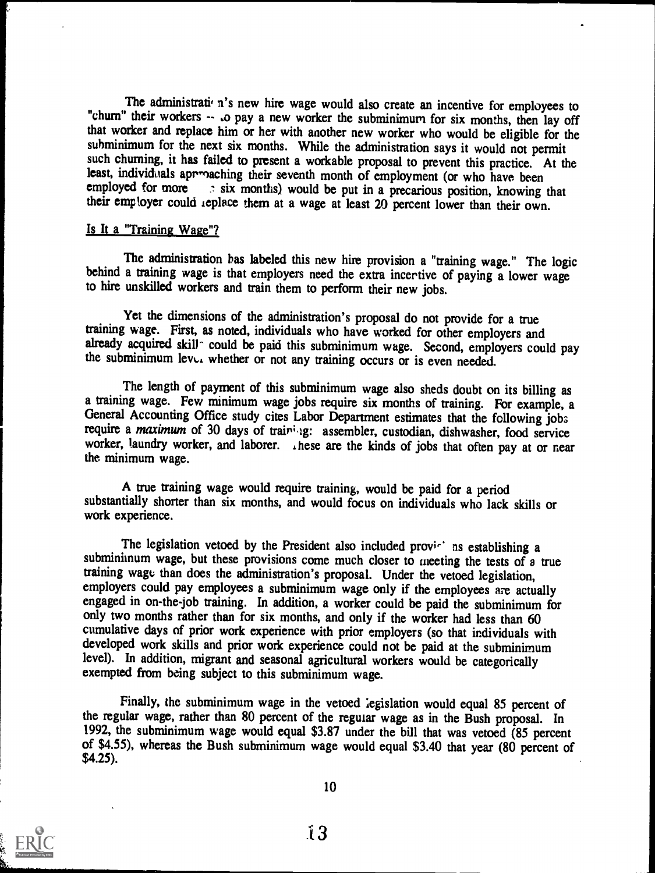The administrati n's new hire wage would also create an incentive for employees to "chum" their workers -- .o pay a new worker the subminimum for six months, then lay off that worker and replace him or her with another new worker who would be eligible for the subminimum for the next six months. While the administration says it would not permit such churning, it has failed to present a workable proposal to prevent this practice. At the least, individuals approaching their seventh month of employment (or who have been employed for more  $\therefore$  six months) would be put in a precarious position knowing  $\therefore$  six months) would be put in a precarious position, knowing that their employer could replace them at a wage at least 20 percent lower than their own.

#### Is It a "Training Wage"?

The administration has labeled this new hire provision a "training wage." The logic behind a training wage is that employers need the extra incertive of paying a lower wage to hire unskilled workers and train them to perform their new jobs.

Yet the dimensions of the administration's proposal do not provide for a true training wage. First, as noted, individuals who have worked for other employers and already acquired skill<sup>-</sup> could be paid this subminimum wage. Second, employers could pay the subminimum lev $\cup$ . whether or not any training occurs or is even needed.

The length of payment of this subminimum wage also sheds doubt on its billing as a training wage. Few minimum wage jobs require six months of training. For example, a General Accounting Office study cites Labor Department estimates that the following jobs require a maximum of 30 days of training: assembler, custodian, dishwasher, food service worker, laundry worker, and laborer. . hese are the kinds of jobs that often pay at or near the minimum wage.

A true training wage would require training, would be paid for a period substantially shorter than six months, and would focus on individuals who lack skills or work experience.

The legislation vetoed by the President also included providently in establishing a subminimum wage, but these provisions come much closer to meeting the tests of a true training wage; than does the administration's proposal. Under the vetoed legislation, employers could pay employees a subminimum wage only if the employees are actually engaged in on-the-job training. In addition, a worker could be paid the subminimum for only two months rather than for six months, and only if the worker had less than 60 cumulative days of prior work experience with prior employers (so that individuals with developed work skills and prior work experience could not be paid at the subminimum level). In addition, migrant and seasonal agricultural workers would be categorically exempted from being subject to this subminimum wage.

Finally, the subminimum wage in the vetoed legislation would equal 85 percent of the regular wage, rather than 80 percent of the regular wage as in the Bush proposal. In 1992, the subminimum wage would equal \$3.87 under the bill that was vetoed (85 percent of \$4.55), whereas the Bush subminimum wage would equal \$3.40 that year (80 percent of \$4.25).

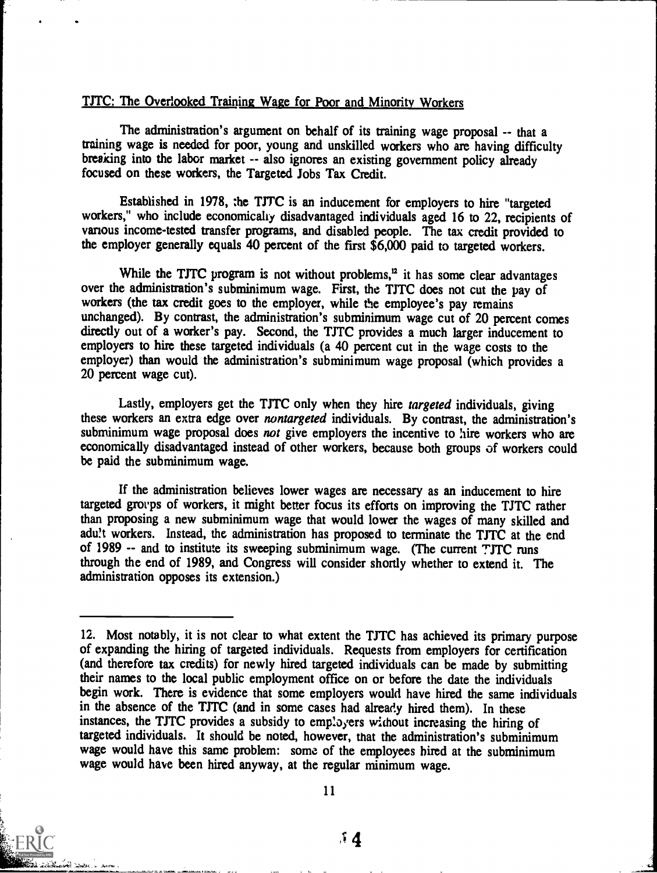## TJTC: The Overlooked Training Wage for Poor and Minority Workers

The administration's argument on behalf of its training wage proposal -- that a training wage is needed for poor, young and unskilled workers who are having difficulty breaking into the labor market -- also ignores an existing government policy already focused on these workers, the Targeted Jobs Tax Credit.

Established in 1978, the TJTC is an inducement for employers to hire "targeted workers," who include economically disadvantaged individuals aged 16 to 22, recipients of vanous income-tested transfer programs, and disabled people. The tax credit provided to the employer generally equals 40 percent of the first \$6,000 paid to targeted workers.

While the TJTC program is not without problems, $<sup>12</sup>$  it has some clear advantages</sup> over the administration's subminimum wage. First, the TJTC does not cut the pay of workers (the tax credit goes to the employer, while the employee's pay remains unchanged). By contrast, the administration's subminimum wage cut of 20 percent comes directly out of a worker's pay. Second, the TJTC provides a much larger inducement to employers to hire these targeted individuals (a 40 percent cut in the wage costs to the employer) than would the administration's subminimum wage proposal (which provides a 20 percent wage cut).

Lastly, employers get the TJTC only when they hire targeted individuals, giving these workers an extra edge over nontargeted individuals. By contrast, the administration's subminimum wage proposal does not give employers the incentive to hire workers who are economically disadvantaged instead of other workers, because both groups of workers could be paid the subminimum wage.

If the administration believes lower wages are necessary as an inducement to hire targeted groups of workers, it might better focus its efforts on improving the TJTC rather than proposing a new subminimum wage that would lower the wages of many skilled and adult workers. Instead, the administration has proposed to terminate the TJTC at the end of 1989 -- and to institute its sweeping subminimum wage. (The current TJTC runs through the end of 1989, and Congress will consider shortly whether to extend it. The administration opposes its extension.)

<sup>12.</sup> Most notably, it is not clear to what extent the TJTC has achieved its primary purpose of expanding the hiring of targeted individuals. Requests from employers for certification (and therefore tax credits) for newly hired targeted individuals can be made by submitting their names to the local public employment office on or before the date the individuals begin work. There is evidence that some employers would have hired the same individuals in the absence of the TJTC (and in some cases had already hired them). In these instances, the TJTC provides a subsidy to employers without increasing the hiring of targeted individuals. It should be noted, however, that the administration's subminimum wage would have this same problem: some of the employees hired at the subminimum wage would have been hired anyway, at the regular minimum wage.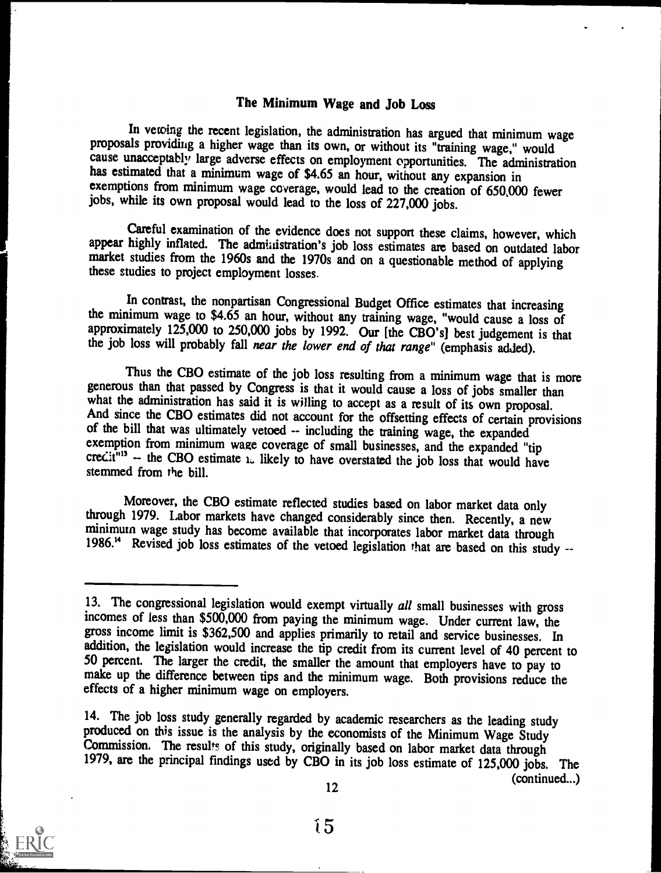## The Minimum Wage and Job Loss

In vetoing the recent legislation, the administration has argued that minimum wage proposals providing a higher wage than its own, or without its "training wage," would cause unacceptably large adverse effects on employment opportunities. The administration has estimated that a minimum wage of \$4.65 an hour, without any expansion in exemptions from minimum wage coverage, would lead to the creation of 650,000 fewer jobs, while its own proposal would lead to the loss of 227,000 jobs.

Careful examination of the evidence does not support these claims, however, which appear highly inflated. The administration's job loss estimates are based on outdated labor market studies from the 1960s and the 1970s and on a questionable method of applying these studies to project employment losses.

In contrast, the nonpartisan Congressional Budget Office estimates that increasing the minimum wage to \$4.65 an hour, without any training wage, "would cause a loss of approximately 125,000 to 250,000 jobs by 1992. Our [the CBO's] best judgement is that the job loss will probably fall near the lower end of that range" (emphasis added).

Thus the CBO estimate of the job loss resulting from a minimum wage that is more generous than that passed by Congress is that it would cause a loss of jobs smaller than what the administration has said it is willing to accept as a result of its own proposal.<br>And since the CBO estimates did not account for the offsetting effects of certain provisions of the bill that was ultimately vetoed credit<sup>"13</sup> -- the CBO estimate  $\sum$  likely to have overstated the job loss that would have stemmed from the bill.

Moreover, the CBO estimate reflected studies based on labor market data only through 1979. Labor markets have changed considerably since then. Recently, a new minimum wage study has become available that incorporates labor market data through<br>1986.<sup>14</sup> Revised job loss estimates of the vetoed legislation that are based on this study --

14. The job loss study generally regarded by academic researchers as the leading study produced on this issue is the analysis by the economists of the Minimum Wage Study Commission. The results of this study, originally ba

(continued...)



12

<sup>13.</sup> The congressional legislation would exempt virtually all small businesses with gross incomes of less than \$500,000 from paying the minimum wage. Under current law, the gross income limit is \$362,500 and applies primarily to retail and service businesses. In addition, the legislation would increase the tip credit from its current level of 40 percent to 50 percent. The larger the credit, the smaller the amount that employers have to pay to make up the difference between tips and the minimum wage. Both provisions reduce the effects of a higher minimum wage on employers.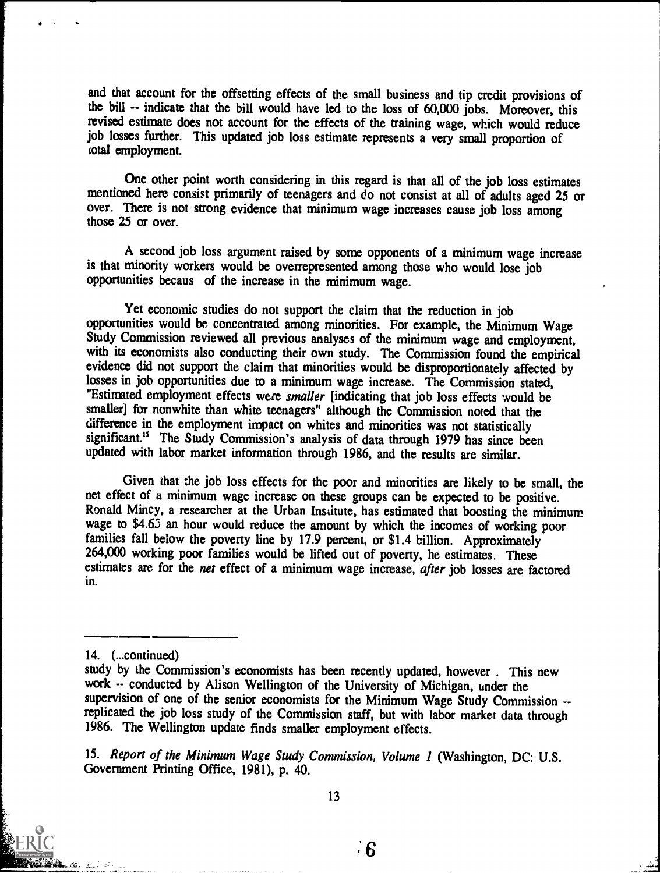and that account for the offsetting effects of the small business and tip credit provisions of the bill -- indicate that the bill would have led to the loss of 60,000 jobs. Moreover, this revised estimate does not account for the effects of the training wage, which would reduce job losses further. This updated job loss estimate represents a very small proportion of total employment.

One other point worth considering in this regard is that all of the job loss estimates mentioned here consist primarily of teenagers and do not consist at all of adults aged 25 or over. There is not strong evidence that minimum wage increases cause job loss among those 25 or over.

A second job loss argument raised by some opponents of a minimum wage increase is that minority workers would be overrepresented among those who would lose job opportunities becaus of the increase in the minimum wage.

Yet economic studies do not support the claim that the reduction in job opportunities would be, concentrated among minorities. For example, the Minimum Wage Study Commission reviewed all previous analyses of the minimum wage and employment, with its economists also conducting their own study. The Commission found the empirical evidence did not support the claim that minorities would be disproportionately affected by losses in job opportunities due to a minimum wage increase. The Commission stated, "Estimated employment effects were smaller [indicating that job loss effects would be smaller] for nonwhite than white teenagers" although the Commission noted that the difference in the employment impact on whites and minorities was not statistically significant.<sup>15</sup> The Study Commission's analysis of data through 1979 has since been updated with labor market information through 1986, and the results are similar.

Given that the job loss effects for the poor and minorities are likely to be small, the net effect of a minimum wage increase on these groups can be expected to be positive. Ronald Mincy, a researcher at the Urban Institute, has estimated that boosting the minimum wage to \$4.65 an hour would reduce the amount by which the incomes of working poor families fall below the poverty line by 17.9 percent, or \$1.4 billion. Approximately 264,000 working poor families would be lifted out of poverty, he estimates. These estimates are for the net effect of a minimum wage increase, after job losses are factored in.

<sup>15.</sup> Report of the Minimum Wage Study Commission, Volume 1 (Washington, DC: U.S. Government Printing Office, 1981), p. 40.



<sup>14.</sup> (...continued)

study by the Commission's economists has been recently updated, however . This new work -- conducted by Alison Wellington of the University of Michigan, under the supervision of one of the senior economists for the Minimum Wage Study Commission -replicated the job loss study of the Commission staff, but with labor market data through 1986. The Wellington update finds smaller employment effects.